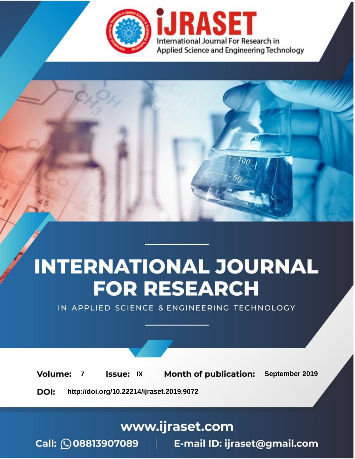



IN APPLIED SCIENCE & ENGINEERING TECHNOLOGY

**7 Issue:** IX **Month of publication:** September 2019 **Volume: http://doi.org/10.22214/ijraset.2019.9072**DOI:

www.ijraset.com

Call: **Q08813907089** E-mail ID: ijraset@gmail.com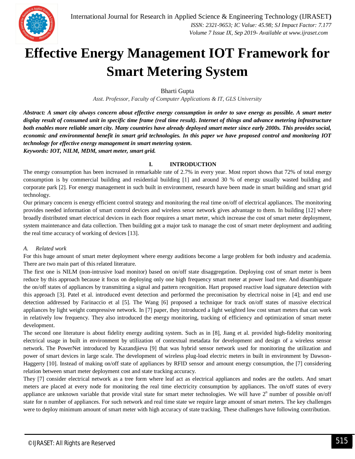

# **Effective Energy Management IOT Framework for Smart Metering System**

Bharti Gupta

*Asst. Professor, Faculty of Computer Applications & IT, GLS University* 

*Abstract: A smart city always concern about effective energy consumption in order to save energy as possible. A smart meter display result of consumed unit in specific time frame (real time result). Internet of things and advance metering infrastructure both enables more reliable smart city. Many countries have already deployed smart meter since early 2000s. This provides social, economic and environmental benefit in smart grid technologies. In this paper we have proposed control and monitoring IOT technology for effective energy management in smart metering system. Keywords: IOT, NILM, MDM, smart meter, smart grid.*

#### **I. INTRODUCTION**

The energy consumption has been increased in remarkable rate of 2.7% in every year. Most report shows that 72% of total energy consumption is by commercial building and residential building [1] and around 30 % of energy usually wasted building and corporate park [2]. For energy management in such built in environment, research have been made in smart building and smart grid technology.

Our primary concern is energy efficient control strategy and monitoring the real time on/off of electrical appliances. The monitoring provides needed information of smart control devices and wireless senor network gives advantage to them. In building [12] where broadly distributed smart electrical devices in each floor requires a smart meter, which increase the cost of smart meter deployment, system maintenance and data collection. Then building got a major task to manage the cost of smart meter deployment and auditing the real time accuracy of working of devices [13].

# *A. Related work*

For this huge amount of smart meter deployment where energy auditions become a large problem for both industry and academia. There are two main part of this related literature.

The first one is NILM (non-intrusive load monitor) based on on/off state disaggregation. Deploying cost of smart meter is been reduce by this approach because it focus on deploying only one high frequency smart meter at power load tree. And disambiguate the on/off states of appliances by transmitting a signal and pattern recognition. Hart proposed reactive load signature detection with this approach [3]. Patel et al. introduced event detection and performed the preconisation by electrical noise in [4]; and end use detection addressed by Farinaccio et al [5]. The Wang [6] proposed a technique for track on/off states of massive electrical appliances by light weight compressive network. In [7] paper, they introduced a light weighted low cost smart meters that can work in relatively low frequency. They also introduced the energy monitoring, tracking of efficiency and optimization of smart meter development.

The second one literature is about fidelity energy auditing system. Such as in [8], Jiang et al. provided high-fidelity monitoring electrical usage in built in environment by utilization of contextual metadata for development and design of a wireless sensor network. The PowerNet introduced by Kazandjieva [9] that was hybrid sensor network used for monitoring the utilization and power of smart devices in large scale. The development of wireless plug-load electric meters in built in environment by Dawson-Haggerty [10]. Instead of making on/off state of appliances by RFID sensor and amount energy consumption, the [7] considering relation between smart meter deployment cost and state tracking accuracy.

They [7] consider electrical network as a tree form where leaf act as electrical appliances and nodes are the outlets. And smart meters are placed at every node for monitoring the real time electricity consumption by appliances. The on/off states of every appliance are unknown variable that provide vital state for smart meter technologies. We will have  $2<sup>n</sup>$  number of possible on/off state for n number of appliances. For such network and real time state we require large amount of smart meters. The key challenges were to deploy minimum amount of smart meter with high accuracy of state tracking. These challenges have following contribution.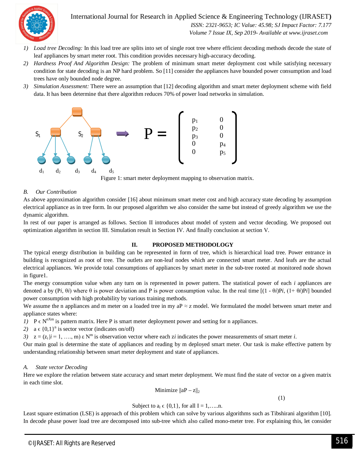

International Journal for Research in Applied Science & Engineering Technology (IJRASET**)**

 *ISSN: 2321-9653; IC Value: 45.98; SJ Impact Factor: 7.177 Volume 7 Issue IX, Sep 2019- Available at www.ijraset.com*

- *1) Load tree Decoding:* In this load tree are splits into set of single root tree where efficient decoding methods decode the state of leaf appliances by smart meter root. This condition provides necessary high-accuracy decoding.
- *2) Hardness Proof And Algorithm Design:* The problem of minimum smart meter deployment cost while satisfying necessary condition for state decoding is an NP hard problem. So [11] consider the appliances have bounded power consumption and load trees have only bounded node degree.
- *3) Simulation Assessment:* There were an assumption that [12] decoding algorithm and smart meter deployment scheme with field data. It has been determine that there algorithm reduces 70% of power load networks in simulation.



Figure 1: smart meter deployment mapping to observation matrix.

# *B. Our Contribution*

As above approximation algorithm consider [16] about minimum smart meter cost and high accuracy state decoding by assumption electrical appliance as in tree form. In our proposed algorithm we also consider the same but instead of greedy algorithm we use the dynamic algorithm.

In rest of our paper is arranged as follows. Section II introduces about model of system and vector decoding. We proposed out optimization algorithm in section III. Simulation result in Section IV. And finally conclusion at section V.

#### **II. PROPOSED METHODOLOGY**

The typical energy distribution in building can be represented in form of tree, which is hierarchical load tree. Power entrance in building is recognized as root of tree. The outlets are non-leaf nodes which are connected smart meter. And leafs are the actual electrical appliances. We provide total consumptions of appliances by smart meter in the sub-tree rooted at monitored node shown in figure1.

The energy consumption value when any turn on is represented in power pattern. The statistical power of each *i* appliances are denoted a by  $(Pi, \theta i)$  where  $\theta$  is power deviation and P is power consumption value. In the real time  $[(1 - \theta i)P_i, (1 + \theta i)P_i]$  bounded power consumption with high probability by various training methods.

We assume the n appliances and m meter on a loaded tree in my aP  $\approx$  z model. We formulated the model between smart meter and appliance states where:

- *1*)  $P \in N^{nXm}$  is pattern matrix. Here P is smart meter deployment power and setting for n appliances.
- 2)  $a \in \{0,1\}^n$  is sector vector (indicates on/off)

*3*)  $z = (z_i | i = 1, ..., m) \varepsilon N^m$  is observation vector where each *zi* indicates the power measurements of smart meter *i*.

Our main goal is determine the state of appliances and reading by m deployed smart meter. Our task is make effective pattern by understanding relationship between smart meter deployment and state of appliances.

#### *A. State vector Decoding*

Here we explore the relation between state accuracy and smart meter deployment. We must find the state of vector on a given matrix in each time slot.

Minimize  $\|aP - z\|_2$ 

(1)

Subject to 
$$
a_i \in \{0,1\}
$$
, for all  $I = 1, \ldots, n$ .

Least square estimation (LSE) is approach of this problem which can solve by various algorithms such as Tibshirani algorithm [10]. In decode phase power load tree are decomposed into sub-tree which also called mono-meter tree. For explaining this, let consider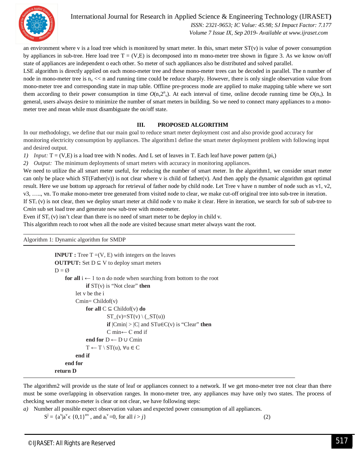

 *ISSN: 2321-9653; IC Value: 45.98; SJ Impact Factor: 7.177 Volume 7 Issue IX, Sep 2019- Available at www.ijraset.com*

an environment where v is a load tree which is monitored by smart meter. In this, smart meter  $ST(v)$  is value of power consumption by appliances in sub-tree. Here load tree  $T = (V,E)$  is decomposed into m mono-meter tree shown in figure 3. As we know on/off state of appliances are independent o each other. So meter of such appliances also be distributed and solved parallel.

LSE algorithm is directly applied on each mono-meter tree and these mono-meter trees can be decoded in parallel. The n number of node in mono-meter tree is  $n_v \ll r$  and running time could be reduce sharply. However, there is only single observation value from mono-meter tree and corresponding state in map table. Offline pre-process mode are applied to make mapping table where we sort them according to their power consumption in time  $O(n_v 2_v^n)$ . At each interval of time, online decode running time be  $O(n_v)$ . In general, users always desire to minimize the number of smart meters in building. So we need to connect many appliances to a monometer tree and mean while must disambiguate the on/off state.

# **III. PROPOSED ALGORITHM**

In our methodology, we define that our main goal to reduce smart meter deployment cost and also provide good accuracy for monitoring electricity consumption by appliances. The algorithm1 define the smart meter deployment problem with following input and desired output.

*1) Input:*  $T = (V, E)$  is a load tree with N nodes. And L set of leaves in T. Each leaf have power pattern (pi,)

*2) Output:* The minimum deployments of smart meters with accuracy in monitoring appliances.

We need to utilize the all smart meter useful, for reducing the number of smart meter. In the algorithm1, we consider smart meter can only be place which ST(Father(v)) is not clear where v is child of father(v). And then apply the dynamic algorithm got optimal result. Here we use bottom up approach for retrieval of father node by child node. Let Tree v have n number of node such as v1, v2, v3, ….., vn. To make mono-meter tree generated from visited node to clear, we make cut-off original tree into sub-tree in iteration. If  $ST_i(v)$  is not clear, then we deploy smart meter at child node v to make it clear. Here in iteration, we search for sub of sub-tree to C*min* sub set load tree and generate new sub-tree with mono-meter.

Even if  $ST_i(v)$  isn't clear than there is no need of smart meter to be deploy in child v.

This algorithm reach to root when all the node are visited because smart meter always want the root.

Algorithm 1: Dynamic algorithm for SMDP

```
INPUT : Tree T = (V, E) with integers on the leaves
OUTPUT: Set D \subseteq V to deploy smart meters
D = \emptysetfor all i \leftarrow 1 to n do node when searching from bottom to the root
              if ST(v) is "Not clear" then
          let v be the i
          Cmin = Children(v)for all C \subseteq Childof(v) do
                         ST_{(v)=ST(v) \setminus (ST(u))}if |Cmin| > |C| and STu \in C(v) is "Clear" then
                         C min← C end if
              end for D ← D ∪ Cmin
              T \leftarrow T \setminus ST(u), \forall u \in Cend if
     end for
return D
```
The algorithm2 will provide us the state of leaf or appliances connect to a network. If we get mono-meter tree not clear than there must be some overlapping in observation ranges. In mono-meter tree, any appliances may have only two states. The process of checking weather mono-meter is clear or not clear, we have following steps:

*a)* Number all possible expect observation values and expected power consumption of all appliances.

 $S^j = \{a^v | a^v \in \{0,1\}^{nv}$ , and  $a_i^v = 0$ , for all  $i > j$  (2)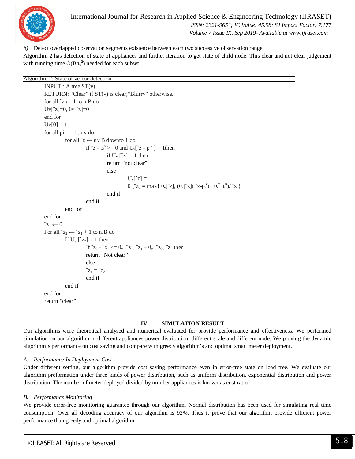

*b)* Detect overlapped observation segments existence between each two successive observation range. Algorithm 2 has detection of state of appliances and further iteration to get state of child node. This clear and not clear judgement with running time  $O(Bn_v^2)$  needed for each subset.

```
Algorithm 2: State of vector detection
```

```
INPUT : A tree ST(v)RETURN: "Clear" if ST(v) is clear; "Blurry" otherwise.
for all \hat{z} \leftarrow 1 to n B do
Uv\lceil 2 \rceil = 0, \thetav\lceil 2 \rceil = 0end for
Uv[0] = 1for all pi, i = 1...nv do
               for all \mathbf{\hat{z}} \leftarrow \mathbf{n} \mathbf{v}B downto 1 do
                              if \hat{z} - p_i^{\text{v}} \ge 0 and U_{\text{v}}[\hat{z} - p_i^{\text{v}}] = 1then
                                            if U_v \lceil z \rceil = 1 then
                                            return "not clear"
                                            else
                                                           U_v[<sup>\hat{z}</sup>] = 1θ_v[^{\hat{z}}] = max{ θ_v[^{\hat{z}}], (θ_v[^{\hat{z}}]] (^{\hat{z}}z-p_i^{\hat{v}}) + θ_i^{\hat{v}}p_i^{\hat{u}}) / \hat{z}}end if
                             end if
               end for
end for
\hat{z}_1 \leftarrow 0For all z_2 \leftarrow z_1 + 1 to n_vB do
              If U_v [^2Z_2] = 1 then
                             If \hat{z}_2 - \hat{z}_1 \leq \theta_{\rm v} \hat{z}_1 \hat{z}_1 + \theta_{\rm v} \hat{z}_2 \hat{z}_2 then
                             return "Not clear"
                             else
                             \hat{z}_1 = \hat{z}_2end if
               end if
end for
return "clear"
```
# **IV. SIMULATION RESULT**

Our algorithms were theoretical analysed and numerical evaluated for provide performance and effectiveness. We performed simulation on our algorithm in different appliances power distribution, different scale and different node. We proving the dynamic algorithm's performance on cost saving and compare with greedy algorithm's and optimal smart meter deployment.

# *A. Performance In Deployment Cost*

Under different setting, our algorithm provide cost saving performance even in error-free state on load tree. We evaluate our algorithm preformation under three kinds of power distribution, such as uniform distribution, exponential distribution and power distribution. The number of meter deployed divided by number appliances is known as cost ratio.

#### *B. Performance Monitoring*

We provide error-free monitoring guarantee through our algorithm. Normal distribution has been used for simulating real time consumption. Over all decoding accuracy of our algorithm is 92%. Thus it prove that our algorithm provide efficient power performance than greedy and optimal algorithm.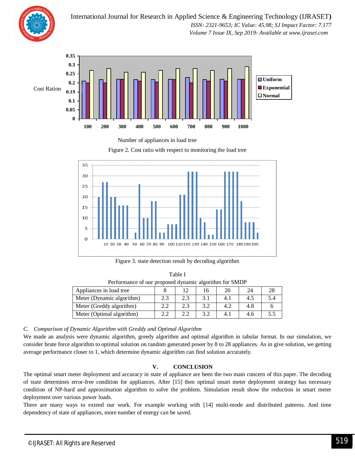

International Journal for Research in Applied Science & Engineering Technology (IJRASET**)**  *ISSN: 2321-9653; IC Value: 45.98; SJ Impact Factor: 7.177 Volume 7 Issue IX, Sep 2019- Available at www.ijraset.com*





Figure 2. Cost ratio with respect to monitoring the load tree



Figure 3. state detection result by decoding algorithm

| Performance of our proposed dynamic algorithm for SMDP |     |     |     |     |     |     |
|--------------------------------------------------------|-----|-----|-----|-----|-----|-----|
| Appliances in load tree                                |     | 12  | 16  | 20  | 24  | 28  |
| Meter (Dynamic algorithm)                              | 2.3 | 2.3 | 3.1 | 4.1 | 4.5 | 5.4 |
| Meter (Greddy algorithm)                               | 2.2 | 2.3 | 3.2 | 4.2 | 4.8 |     |
| Meter (Optimal algorithm)                              |     | 2.2 | 3.2 | 4.  | 4.6 | 5.5 |

Table I

*C. Comparison of Dynamic Algorithm with Greddy and Optimal Algorithm*

We made an analysis were dynamic algorithm, greedy algorithm and optimal algorithm in tabular format. In our simulation, we consider brute force algorithm to optimal solution on random generated power by 8 to 28 appliances. As in give solution, we getting average performance closer to 1, which determine dynamic algorithm can find solution accurately.

# **V. CONCLUSION**

The optimal smart meter deployment and accuracy in state of appliance are been the two main concern of this paper. The decoding of state determines error-free condition for appliances. After [15] then optimal smart meter deployment strategy has necessary condition of NP-hard and approximation algorithm to solve the problem. Simulation result show the reduction in smart meter deployment over various power loads.

There are many ways to extend our work. For example working with [14] multi-mode and distributed patterns. And time dependency of state of appliances, more number of energy can be saved.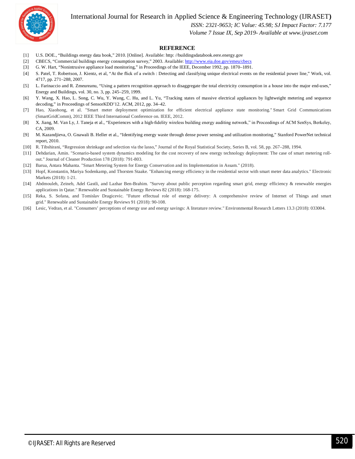International Journal for Research in Applied Science & Engineering Technology (IJRASET**)**



# *ISSN: 2321-9653; IC Value: 45.98; SJ Impact Factor: 7.177*

 *Volume 7 Issue IX, Sep 2019- Available at www.ijraset.com*

#### **REFERENCE**

- [1] U.S. DOE., "Buildings energy data book," 2010. [Online]. Available: http: //buildingsdatabook.eere.energy.gov
- [2] CBECS, "Commercial buildings energy consumption survey," 2003. Available: http://www.eia.doe.gov/emeu/cbecs
- [3] G. W. Hart, "Nonintrusive appliance load monitoring," in Proceedings of the IEEE, December 1992, pp. 1870–1891.
- [4] S. Patel, T. Robertson, J. Kientz, et al, "At the flick of a switch : Detecting and classifying unique electrical events on the residential power line," Work, vol. 4717, pp. 271–288, 2007.
- [5] L. Farinaccio and R. Zmeureanu, "Using a pattern recognition approach to disaggregate the total electricity consumption in a house into the major end-uses," Energy and Buildings, vol. 30, no. 3, pp. 245–259, 1999.
- [6] Y. Wang, X. Hao, L. Song, C. Wu, Y. Wang, C. Hu, and L. Yu, "Tracking states of massive electrical appliances by lightweight metering and sequence decoding," in Proceedings of SensorKDD'12. ACM, 2012, pp. 34–42.
- [7] Hao, Xiaohong, et al. "Smart meter deployment optimization for efficient electrical appliance state monitoring." Smart Grid Communications (SmartGridComm), 2012 IEEE Third International Conference on. IEEE, 2012.
- [8] X. Jiang, M. Van Ly, J. Taneja et al., "Experiences with a high-fidelity wireless building energy auditing network," in Proceedings of ACM SenSys, Berkeley, CA, 2009.
- [9] M. Kazandjieva, O. Gnawali B. Heller et al., "Identifying energy waste through dense power sensing and utilization monitoring," Stanford PowerNet technical report, 2010.
- [10] R. Tibshirani, "Regression shrinkage and selection via the lasso," Journal of the Royal Statistical Society, Series B, vol. 58, pp. 267–288, 1994.
- [11] Dehdarian, Amin. "Scenario-based system dynamics modeling for the cost recovery of new energy technology deployment: The case of smart metering rollout." Journal of Cleaner Production 178 (2018): 791-803.
- [12] Barua, Antara Mahanta. "Smart Metering System for Energy Conservation and its Implementation in Assam." (2018).
- [13] Hopf, Konstantin, Mariya Sodenkamp, and Thorsten Staake. "Enhancing energy efficiency in the residential sector with smart meter data analytics." Electronic Markets (2018): 1-21.
- [14] Abdmouleh, Zeineb, Adel Gastli, and Lazhar Ben-Brahim. "Survey about public perception regarding smart grid, energy efficiency & renewable energies applications in Qatar." Renewable and Sustainable Energy Reviews 82 (2018): 168-175.
- [15] Reka, S. Sofana, and Tomislav Dragicevic. "Future effectual role of energy delivery: A comprehensive review of Internet of Things and smart grid." Renewable and Sustainable Energy Reviews 91 (2018): 90-108.
- [16] Lesic, Vedran, et al. "Consumers' perceptions of energy use and energy savings: A literature review." Environmental Research Letters 13.3 (2018): 033004.